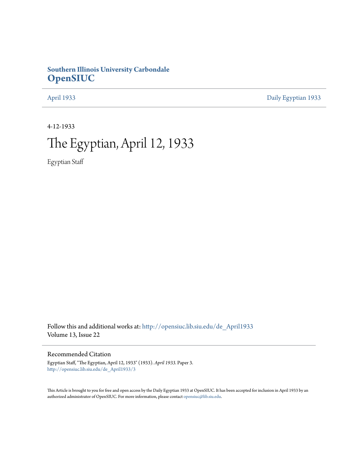### **Southern Illinois University Carbondale [OpenSIUC](http://opensiuc.lib.siu.edu?utm_source=opensiuc.lib.siu.edu%2Fde_April1933%2F3&utm_medium=PDF&utm_campaign=PDFCoverPages)**

[April 1933](http://opensiuc.lib.siu.edu/de_April1933?utm_source=opensiuc.lib.siu.edu%2Fde_April1933%2F3&utm_medium=PDF&utm_campaign=PDFCoverPages) [Daily Egyptian 1933](http://opensiuc.lib.siu.edu/de_1933?utm_source=opensiuc.lib.siu.edu%2Fde_April1933%2F3&utm_medium=PDF&utm_campaign=PDFCoverPages)

4-12-1933

# The Egyptian, April 12, 1933

Egyptian Staff

Follow this and additional works at: [http://opensiuc.lib.siu.edu/de\\_April1933](http://opensiuc.lib.siu.edu/de_April1933?utm_source=opensiuc.lib.siu.edu%2Fde_April1933%2F3&utm_medium=PDF&utm_campaign=PDFCoverPages) Volume 13, Issue 22

### Recommended Citation

Egyptian Staff, "The Egyptian, April 12, 1933" (1933). *April 1933.* Paper 3. [http://opensiuc.lib.siu.edu/de\\_April1933/3](http://opensiuc.lib.siu.edu/de_April1933/3?utm_source=opensiuc.lib.siu.edu%2Fde_April1933%2F3&utm_medium=PDF&utm_campaign=PDFCoverPages)

This Article is brought to you for free and open access by the Daily Egyptian 1933 at OpenSIUC. It has been accepted for inclusion in April 1933 by an authorized administrator of OpenSIUC. For more information, please contact [opensiuc@lib.siu.edu](mailto:opensiuc@lib.siu.edu).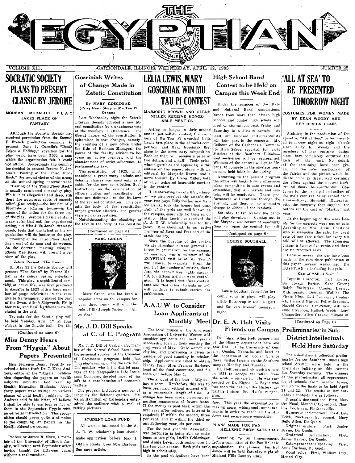

## **SOCRATIC SOCIETY PLANS TO PRESENT CLASSIC BY JEROME**

MODERN MORALITY PLAY TAKES PLACE OF **FANTASY** 

Although the Socratic Society had received permission from the Samuel B. French production company present, June 1, Cassella's "Death Takes a Holiday," royalties for the play would have been \$100, a sum which the organization felt it could not afford. Accordingly the committee decided to present Jerome K. Jerome's "Passing of the Third Floor Back," the second choice of the group as the annual spring entertainment.

'Passing of the Third Floor Back" is usually considered a morality play. While it is allegorical and deep, still there are numerous spots of coinedy relief. One setting-the interior of a Bloomsbury lodging house-is the scene of the action for the three acts of the play. Jerome's classic contains<br>many roles that call for experienced acting, but Miss Julia Jonah, dramatic coach, feels that the talent in the or ganization will do justice to the play.

"Passing of the Third Floor Back" has a cast of six men and six women At the Socratic meeting tonight<br>Rhoda Mae Baker will present a review of the play.

#### Zetets Present "The Swan"

On May 31 the Zetetic Society will present "The Swan" by Ferenc Molnar as its annual spring entertainment. This play, a sophisticated com-Text of court life, was first produced<br>in America in 1923 with a large number of stage celebrities in the cast. Eva le Gallienne, who played the part of the Swan, Alison Skipworth, Philip Merivale, and Basil Rathbone were included in the cast.

Try-outs for the Zetetic play will be held Monday, April 17 at four o'clock in the Zetetic hall. On the

#### $(Continued on page 6)$ **Miss Denny Hears** From "Hygeia" About Papers Presented

Miss Florence Denny recently received a letter from Dr. J. Mace And- The speaker, who is the district manress, editor of the "Hygeia" publica- ager of the Metropolitan Life Insurtion regarding the papers on health ance Company, devoted most of his subjects submitted last term by Health Education Students. About matters. forty papers were written on various phases of child health problems. Dr. Andress said in his letter, "I believe I shall be able to use four or five of them in the September Hygeia with an editorial introduction. This recognition should prove quite a stimulus to the compiling of papers in the Health Education course.

Profess or James B. Shaw, a member of the University of Illinois faculty, will retire next September after having taught for fifty-one years without a real vacation.

### **Gosciniak Writes** of Change Made in Zetetic Constitution

By MARY GOSCINIAK (Prize News Story in Mu Tau Pi Contest

Last Wednesday night the Zetetic Literary Society adopted a new liberal constitution by a unanimous vote of the members in attendance. The liberal nature of the constitution is epitomized in thre changes, namely: the creation of a new office under the title of Business Manager, the power of the faculty advisor to become an active member, and the abandonment of strict adherence to

parliamentary law. The constitution of 1928, which contained a great many archaic and defining clauses was used only as a guide for the new constitution. Such restrictions, as the enumeration of officers' duties and specification of dues are delineated in the By-Laws as two girls received the awards this of the revised constitution. This per-year, two boys, Billy Tucker and Venmits the body of the constitution in the brink, took the honors last year.

the text in the body of the constitu-



Marc Green, who has been a popular actor on the campus for over three years, will sing the role of Sir Joseph Porter in "All at Sea."

#### Mr. J. D. Dill Speaks at C. of C. Program

Mr. J. D. Dill of Carbondale, member of the Normal School Board, was the principal speaker of the Chamber Commerce program held last of Thursday evening in the Socratic hall. talk to a consideration of economic

The program included a number of songs by the Belmont quartet. Mr. Ralph Hamilton of Carbondale entertained the audience with a reel of talking pictures.

#### STUDENT LOAN FUND

All women intereesed in the A. A. U. W. scholarship loan should make application before May 1. Obtain blanks from Miss Barbour. See news article.

### LELIA LEWIS, MARY **GOSCINIAK WIN MU TAU PI CONTEST** MARJORIE BROWN AND GLENN

MILLER RECEIVE HONOR-ABLE MENTION

#### Acting as judges in their second annual journalistic contest, the members of Mu Tau Pi awarded Lelia Lewis first place in the editorial competition, and Mary Gosciniak first place in the news story competition. Each of them will receive a prize of two dollars and a half. Their prizewinnin garticles are appearing in this edition of the paper, along with an editorial by Marjorie Brown and a news feature by Glenn Miller, beth of whom achieved honorable mertion in the contest.

It i sinteresting to note that, wheremits the boay of the concerned Both of the girls are well now in the proper greater elasticity and greater the campus, especially for their schol-Notwithstanding the elasticity of arship. Miss Lewis has received the A. A. U. W. scholarship loan for this year. Miss Gosciniak is an active member of Strut and Fret and of the etetic Society.

Since the purpose of the contest wa sto stimulate a more general i. terest in journalism on the campus, no one who was a member of the EGYPTIAN staff or of Mu Tau Pi was allowed to c mpete. From the point of the number of entries, therefore, the contest was highly success ful, for fifteen articles were contrib uted. It is hoped that these contestants and that other students as well will continue to submit stories for publication.

## A.A.U.W. to Consider Loan Applicants at

The local branch of the American Association of University Women will consider applicants for next year's scholarship loan at their meeting the of the History department here and first week of May. Only women are eligible, and preference is given to aha, Omaha, Nebraska and head of juniors of good standing in scholarship. Applicants are asked to obtain there, visited friends on the Southern blanks from Miss Frances Barbour, head of the fund committee, and fill them out before May 1.

The amount of the loan is fifty dollars a term. Heretofore this was to have been naid without interest within a reasonable length of time. A change has been made, however, regarding repayments of future loans. If the money is paid back within the first year after college, no interest is required; if within the second, three per cent, and if within the third or any following year, six per cent.

For the past year the Association was fortunate in being able to make loans to two girls, Lucille Schlesinger and Annie Lewis, both sophomores in the two-year course. Both girls rank high in scholarship.

In the past obligations have been Midland Hills Country Club.

### **High School Band** Contest to be Held on **Campus this Week End**

Under the auspices of the State and National Band Associations bands from more than fifteen high schools and junior high schols will meet on the campus next Friday and Satur-lay in a district contest. At least six hundred instrumentalists will take part in the concerts. Mr. approximation is a series o'clock Calhoun of the Carbondale Community High School reported, for eight districts of the Southern Illinoissouth-division will be represented. Winners of the contect will go to Urbana, to compete in the all-state tournament held later in the spring.

According to the present program the affair will begin Fridey afternoon when competition in solo events and ensembles, that is, quartets and sextets, will be conducted. These performances will continue through the evening, and there is no admission charge to either of the sessions.

Saturday at ten o'clock the bands will play downtown. Coming out to the Shryock Auditorium at one-thirty they will open the contest for indi-



Louise Southall, famed for her comic roles in plays, will play Little Buttercup in the "Gilbert and Sullivan Dream<sup>6</sup> tomorrow night

#### Monthly Meet Dr. E. A. Holt Visits Friends on Campus Preliminaries in Sub-

Dr. Edgar Allen Holt former head now Dean of the University of Omdepartment of Social Science the campus Monday and Tuesday.

Dr. Holt resigned his position here in 1931 to accept the offer from the western university. He was succeeded by Dr. Richard L. Beyer who has been the head of the History department since Dr. Holt's resignation.

making more widespread announce- line Eddleman, Pinckneyville. ments in order to reach all the students and secure more competition.

#### PLANS MADE FOR PAN-HELLENIC PROM SATURDAY Byrne, Du Quoin.

According to an announcement James Harper, Du Quoin. from a committee of the Pan-Hellenic organization, the cannual Pan-Hel Anna Durham, Du Quoin,<br>dance will be held Saturday night at Vocal solo: First, W

## 'ALL AT SEA' TO **BE PRESENTED TOMORROW NIGHT**

#### COSTUMES FOR WOMEN MADE BY DEAN WOODY AND HER DESIGN CLASS

Assisting in the production of the aperetta, "All at Sea," to be present-Dean Lucy K. Woody and the members of her costume design class have completely outfitted the of the cast. No details girls of the costuming have been given, but the roles, particularly of the fairies, and the pirates would indicate color in dress, and certainly the effect against the neutral background should be spectacular. Costumes fo. the principal and sailors of the male cast are being rented from Hooker-Howe, Haverhil', Massachusetts, the company that supplied the<br>outfits for the cast of "Martha" last vear.

At the beginning of this week tickets for the operetta were put on sale. According to Mrs. Julia Chastaine .<br>who is managing the sale, the usurl rate of one free ticket for every ten sold will be allowed. The admission charge is twenty-five cents, and there are no reserved seats.

Because several changes have been made in the cast since publication in this paper several weeks ago, the EGYPTIAN is including it again.

Cast of "All at Sea"

Captain Corcoran, Carl Kiefer; Sir Joseph Porter. Marc Green; Ralph Rackstraw, Stanley Bagley; Midshipmate, Deward Wallis; The Pirate King, Karl Freivagel; Frederick, Bernard Minton; Police Sergeant. Harold Graves; Grosvenor, Will Adams; Strephon, Halleck Webb; Lord Chancellor, Allen Graves; Mikado of

 $\overline{(Continued on Page 6)}$ 

### **District Intellectuals Held Here Saturday**

The sub-district intellectual preliminaries for the Southern Illinois high school division were held in the Chemistry building on this campus last Saturday morning. The winners of the preliminaries, all representative of schools from nearby towns, will go to the finals to be held April 21 and 22. The results of last Saturday's contests are as follows:

Dramatic declamation: First, Merfew. This year the organization is tice Hood, Mound City; second, Char-

Humorous declamation: First, Lois Keith, Pinckneyville; second, Mary Belle Allen, Du Quoin.

Original oratory: First, Janice Oratorical declamation: First.

Extemporaneoous speaking: First,

Vocal solo: First, William Lutz, 'Mound City.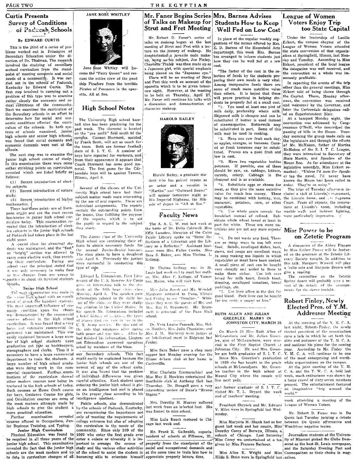#### Curtis Presents Survey of Conditions of Packcah, Schools By EDWARD CURTIS

This is the third of a series of problems worked out in Principles of Secondary Education under the direction of Dr. Thalman. The research involved the studying of secondary scchool curriculum from the standpoint of meeting economic and social needs of a community. It was carried out in the schools of Paducah, Kentucky by Edward Curtis. The first step involved in carrying out a problem of this type was to examine rather closely the economic and 80 cical conditions of the community. Next we examined the curriculum of the Secondary schools in an effort to<br>determine how far social and ecodetermine how far social and eco-<br>nomic conditions effected the curri-<br>ball nine has been practicing for the nomic conditions effects effected the CULT last the CULT conditions of schools examined, junior  $\begin{vmatrix} 1 & 0 & 0 \\ 0 & 1 & 0 \end{vmatrix}$  as the sense of the set of the set of the set of the set of the set of the set of the I set o tems of schools examined, junior on the "pea patch" field south of the<br>high schools and senior high schools, cannius. Cannon Stermant, assisted high schools and senior high schools, campus. Cannon Storment, assisted<br>was found that social demands and  $\vert_{\text{av}}$  Frank Sectional act as coach for was found that social demands and by Frank Scott, will act as coach for economic demands were met at the  $\frac{1}{10}$  the team. Both are former foothall

junior high school course of study.  $|$ from their appearance it appears that In this examination there were some  $|$  Coach Storment has some good marather strinking points on curriculum terial. The first game for the Car-<br>revealed which are listed briefly as bondale bovs will be against Tamms. revealed which are listed briefly as  $\begin{bmatrix} \text{bondale boys} \\ \text{bondale boys} \end{bmatrix}$  be against Tamms, follows:

(1) Recent introduction of elective subjects.

rieulum today. This examination re-<br>the left the introduction of elect. the pupils in regard to the subject The A. A. U. W. met last week at part for white. These are more nuvealed that the introduction of elect- the pupils in regard to the sabyety. The A. A. C. W. met last week at the home of Dr. Delia Caldwell. Miss

The next examination was made in Monday, April 3. The speaker gave Margiave motored to Pana, Illinois cool blood. Pork liver on the diet for the second blood. The second blood in the distribution of the second blood. The The most important influence of eco-<br>
nomic condition upon the echoois his speech Mr. Edmondson included mett is principal of the Pana High<br>
wa: demonstrated by the connectral a brief history of ariation, the types school {'our-~'''' Off~'l'f.'d in tho high ;.:('hool a hri,·f l,i~t().:, of' : .. :atl(1 I, tlw t:YTP., ;"C'hoo1. GREENLEE MARRY IN four-contribution. It was found that a very grap and the row in the total of the theory of the state of the very controlled of the very controlled of the very controlled of the meeting of the Y. M. C. A. Army sections of t large and extensive commercial de-<br>partment was maintained. This was both peace and war times. After he Mrs. J. M. Marberry were judges at : On March 25 Miss Ruth Allen of elected president of the organization easily explained because a large num- had finished his information, Lieuten- an Intellectual meet in Ridgway last<br>ber of high school students upon ant Edmondson answered questions <sub>i</sub> Friday. inations of the curriculum showed of individual- differences was given. Miss May S. Hawkins entertained the Mound City where the couple will week, much enthusiasm was shown by<br>other modern courses now being in-careful atte  $\frac{1}{2}$  of the carrier of  $\frac{1}{2}$  a large crowd of sixty-seven members of  $\frac{1}{2}$  a large crowd of sixty-seven members a large crowd of sixty-seven members a large crowd of sixty-seven members a large crowd of sixty troduced in the high schools of today, entering the junior men school is give-illusted. Dr. Steagall gave a very and former graduate of S. I. T. C., and imaginative "trip around the week" around the week and it is ally int For boys, Guidance Course for girls, in the proper class according to his Stages."<br>
and Orientation courses are some of intelligence quotient.<br>
the most modern attempts made by Public schools, also demonstrated Mrs. Doroth and Orientation courses are some of intelligence quotient.<br>
the most modern attempts made by Public schools, also demonstrated Mrs. Dorothy M. Muzzey suffered resolution<br>
may help schools of president Shryock and Mr. Edwar

junior high school. This examination revealed the fact that the junior high study and the various other activities social and occupational demands and social and the Saturday Evening Post and the Saturday Evening Post and schools are the most modern and up of



Jane Rose Whitley will become the "Fairy Queen" and rescues the entire crew of the good ship Pinafore from the terrible Pirates of Penzance in the operetta, All at Sea.

#### High School Notes

economic demands were met at the team. Both are former football:<br>sections. hools.<br>The next step was to examine the boys have reported for workouts, and The next step was to examine the boys have reported for workouts, and junior high school course of study.  $\frac{1}{2}$  from their appearance it appears that Coach Storment has some good ma-Illinois, April 8.

ive subjects.<br>
(2) Recent introduction of nature  $\frac{1}{\sqrt{2}}$ , subtent in the classes of the United Some had their "Martha" and "Outward Bount" and their "Martha" and their "Martha" and their "Martha" and "Outward Bound" <sup>tudy</sup>.<br>(3) Recent introduction of higher in the use of our penants. These are His Imperial Highness, the Mikmaterial in rotation of material by the use of oral reports. These arc Is imperial riguites, in the Macaroni, potatoes, corn, or other Court. From all reports, the renova-<br>These last time points are of Euro-contain the out individual assignments. The reports and  $\begin{bmatrix} 0 & 0 & 0 & 0 \end{bmatrix}$  and  $\begin{bmatrix} 0 & 0 & 0 & 0 \end{bmatrix}$  are not contained to the months of time including to the reports. The reports I all the contained the months will are indicate pean origin and are the most recent contain the outstanding points from the most recent the most referred of refined. Sub- were particularly impressive.

enather in about six humbred students remant of the U.S. Reserve Air Corps bor, Maine, who will visit here.<br>
the restrict of the fifth hour civics seals and the students of the diality of the diality of the diality of<br>
Sen of planes that me row in use in the

al education. and are recogninzing the importance not was forced to miss school. The importance in the importance in the importance in the importance in the importance in the importance in the importance in the importance Further examination revealed only of meeting the requirements of Miss Lulu Roach motored to Chi and Miss Marjorie M. Shank had as her between Du Quoin affirmative and courses offered in Occupations, Jun- college entrance b Junior High Curriculum community. Since only 260 of the Mr. Frank E. Galbraith, superin- Dorothy Corey of Berwyn, Illinois, at Physical Education was found to 1000 who enter the first grade ever  $\frac{M}{1 \text{ width of}}$  of Chicago. to date in curriculum changes of all becoming able to orientate himself appreciate properly leisure time,

### of Talks on Makeup for **|** Strut and Fret Meeting

Mr. Robert D. Faner's series of talks on makeup began at the last meeting of Strut and Fret with a lecture on the history of makeup. He demónstrated a juvenile male makeusing as his subject, Joe Finley. up, Charlotte Fraley was then made up as a Japanese girl, with special emphasis being placed on the "Japanese eye."

There will be no meeting of Strut and Fret this week on account of the operetta which is to be given tomorrow night. However, at the meeting to be held on Thursday, April 27 Mr. Faner will continue his talks with a discussion and demonstration of character makeup.

HAROLD BAILEY



Harold Bailey, a graduate student who has gair.ed repute as<br>an actor and a vocalist in

ince subjects in the junior high schools<br>of Paducah had taken place in the junior high schools<br>of Paducah had taken place in the last<br>of Paducah had taken place in the last<br>of Paducah had taken place in the last<br>of the Jun

Comparison High School dents of the fifth hour civics class. Miss Julia Journ and Mr. Wendell puddings, etc.<br>The next examination was made in Monday, April 3. The speaken gave Margrave motored to Pana, Illinois ... ... 1se Monday, April 3. The speaker gave  $\frac{N_{\text{Hilq}}}{N_{\text{Hilq}}}$  are motored to Pana, Illinois  $\frac{N_{\text{Hilq}}}{N_{\text{Hilq}}}$  good blood. Pork liver can be house. The formation related to the daily less.  $\frac{N_{\text{Hilq}}}{N_{\text{Hilq}}}$  for ment of about five hundred students. On of the class, as they were study- there they were the guests of Mr. and <sup>for ten</sup> cents a pound or less."<br>The most impurish influence of each ing aviation in the United States. In Mr

#### Mr. Faner Begins Series Mrs. Barnes Advises **Students How to Keep** Well Fed on Low Cost

In place of the regular weekly suggestions of the menus offered by Mrs. E. D. Barnes of the Household Arts department, this week Mrs. Barnes has arranged to inform students just how they can be well fed at a low cost.

"The factor of the cost in the selection of foods by the students preparing their own meals is very vital. Among inexpensive foods there are some of much more nutritive value than others. It is hoped that these will prove practical in helping students be properly fed at a small cost.

"1. You need at least one pint of milk daily, preferably whole milk. Skimmed milk is cheaper and can be substituted if butter is used instead of oleomargarine. Buttermilk may be substituted in part. Some of this milk may be used in cooking.

"2. Have one raw fruit each day, as apples, oranges, or bananas. Canned or fresh tomatoes may be substituted. Prunes are a good fruit and low in cost.

potatoes. If possible, one of these should be raw, ex. cabbage, lettuce, marked: "Unless I'd seen the Speakcarrots, celery. Cabbage is cheapest and is as available.

"4. Substitute eggs or cheese for (2) Recent introduction of nature subsets.<br>
(2) Recent introduction of nature subject match and their study.<br>
(3) Recent introduction of higher subject match and their study.<br>
(3) Recent introduction of higher subject matc

pean origin and are the move focus the lesson, thus fulfilling the purpose  $\text{Facuity News}$  breakfast instead of refined. Sub- were particularly impressive.

forts to obtain necessary funds for express a Reflector." Assistant host food. Salads, escalloped dishes, hash,<br>the annual Junior-Senior banquet, esses were Mrs. Fuller Combs, Miss stows, and souns are excellent wave, by M dent was maintained, and the "fast" the annual Junior-Senior bunquet, esses were Mrs. Fuller Combs, Miss stemmed and soups are excellent was holy Miss Esther Power will be featur-<br>or "bright" settion was allowed to have a or "bright" section was allowed to The class plans to have a doughnut Sara S. Baker, and Miss Thelma L. In soup making use excellent ways.<br>Carry more elective work, thus enrich-sale April 8. Previously the juniors Kellogg. carry more elective work, thus enrich-<br>ing their curriculum. During one were successful in conducting this, Reliogg.<br>Legal application of meat have been cooked. erally something this talk. Margaret Wiswell will play ",('hool '.{'Hl' the principal :,tated thart wt'l'e :,ut'C'essful in conducting this; A :'imall piece of suet can be bought this talk, ::\Jargarpt Wi:;;;well will play it was only needs the principal to make four type of sale.<br>It was only include the second to these to a 'cello solo and it is the solo and it is the second to make them in the second it. It is the second in the second seco or five changes from one group to Lidward L. Edmondson, First Lieu. [1,0018 and ween on to meet uer mouth make them richer. Use left over 5ive a reading,<br>Leapthet in about six hundred students tenant of the U.S. Reserve Ai

partment was maintained. This was hoth peace and war times. After he Mrs. J. M. Marberry were judges at [. On March 25 Miss Ruth Allen of elected president of the organization<br>easily explained because a large num- had fini easily explained because a large num- had finished bis information. Lieuten- an Intellectual meet in Ridgway last McLeansboro and Mr. Julian Green- gave a talk in which he set forth the ber of high school students upon ant Edmondson answered questions Friday.<br>graduation get jobs as bookkeepers, asked by members of the *Chass.* The *Liass*. The *Liass* of the First Baptist Church at and outlined his plans stenographers and derks. Thus it i~ .\_ . , I Miss Sara Baker ~rave a chop suey! Johnston City. 11r. and Mrs. Green- year. According to Mr, Finley the necessary to have a large commercial our. Secondary schools. This fact supper last Monday evening for the lee are both graduates of S. I. T. C. Y. M. C. A. will continue to be one<br>department to train the students. A might department to train the students. A might-easily be explained because the Illinae debate club at her home in Since Mrs. Greenlee's graduation of the most enterprising and worth-<br>In 1929 she has taught in the graduations on large number of high school gradu- junior high schools are one of the Carterville.<br>ates were doing work in the com-newest of any of the school units. The matter of the schools at McLeansboro. Mr. Green- At the joint meetin mercial department. Further exam- It was also found that the problem Miss Charlotte Zimmerschied and lee teaches in the High school at C. A. and the Y. W. C. A. held last mercial department. Further exam- It was also found

courses offered in Occupations, Jun- college entrance but also of adapting  $\frac{m\omega}{\tan \theta}$  Lulu Woach motored to Chi- Miss Marjorie M. Shank had as her, between Du Quoin affirmative and for a and the curriculum to the need the curriculum to the needs of the cago last week end, guest last week end her cousin, Miss! Woodriver negative teams. 1000 who enter the first grade ever term of schools at Fillmore, III, suburb of Chicago. Last Saturday Journalism students at the Universenter a colege or niversity it is important of schools at Fillmore, III, suburb of C be required in all three years of the enter a colege or niversity it is im-  $\frac{m}{\sqrt{m}}$  of  $\frac{m}{\sqrt{m}}$  is corey wa sentertained at a tea ity of Missouri picked the Globe Dem-<br>junior high school. This examination portant

schools are the most modern and up of the school to assist the student in at the same time to train him how to Miss Alice K. Wright and Miss Cosmopolitan as the metriculum changes of all becoming able to orientate himself

#### League of Women Voters Enjoy Trip too State Capital

Under the leadership of Lucille Eckert, the campus chapter of the League of Women Voters attended the state convention of that organization at Springfield, Illinois, last Monday and Tuesday. According to Miss Eckert, president of the local league the delegation was well received, and the convention as a whole was immensely profitable.

In reporting the events of the trip other than the general meetings, Miss<br>Eckert told of being shown through the Capitol. There, Monday afternoon, the convention was received and welcomed by the Governor, and later the Carbondale delegation called on Superintendent Blair.

At a banquet Monday night, the convention was addressed by Congressman O'Neill, who desceribed the passing of bills in the House. Tuesday morning the group made calls on the legislature and through the efforts of Mr. McMaken, father of Martha McMaken of the S. I. T. C. League, they were introudced to Secretary of State Martin, and Speaker of the "3. Have two vegetables besides House Roe. As for attendance at the legislative assembly, Miss Lekert rethe er tap the gavel, I'd never have known the House had been called to order. They're so noisy.'

#### Robert Finley, Newly Elected Pres. of Y.M. Addresses Meeting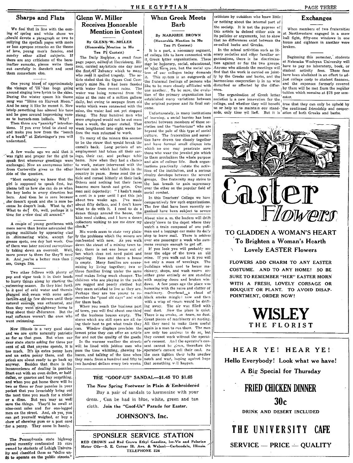#### **Sharps and Flats**

We feel that in line with the coming of spring and white shoes we should devote a paragraph or two to sullying the spotless pages with more or less apropos remarks on the theme of love, young men's fancies, and sundry other allied subjects. If there are any criticisms of the hereinafter remarks, please write them out carefully in Sanskrit and send them somewhere else.

One young blood of approximately the vintage of '35 has been going with water from recent rains. The around singing love lyrics to the skies. During the winter spasm his theme song was "Shine on Harvest Moon." And he sang it like he meant it. Now lately something has altered his tone and he goes around improvising verses to barrack-rom ballads. Why?<br>Then there are "panicky" introduc-

tions. If you ever tried to stand up<br>and make you how from the "bench<br>of a booth" at Entsminger's you will understand.

A few weeks ago we said that it was right and proper for the girl to ings, their car, and perhaps tehir speak first whenever greetings were exchanged. Now an anonymous letter to work, nature intervened with the from Carterville gives us the other heaviest rain which had fallen in the side of the question.

"Most certainly we know that the girl is supposed to speak first, but please tell us how she can do so when the boy looks in every direction but hers. And then he is sore because she'doesn't speak and she is sore because he doesn't look. What to do? What to do? Oh, well, perhaps it is time for a new deal all around."

A couple of young gentlemen with more nerve than brains astounded the gaping multitude by appearing clad in shimmering white. except for grease spots, one day last week. One of them was later noticed surreptiously taking down an overcoat. Well. more power to them for they'll need it. And you're a better man than I am, Gunga Din.

Two other fellows with plenty of pep and vigor took it in their heads to hurry things along by starting the swimming season. So they hied forth to a pool of cold water and therein plunged and swam with some satisfaction and no few shivers until their natural courage was exhausted, and<br>then they went straightway home to brag about their endurance. But the real sufferers weren't the ones who went swimming.

Now Illinois is a very good state and we are quite naturally patriotic as far as that goes. But when our dear state starts asking for three per cent of all that anyone spends, it is too much. It's an extra penny here and an extra penny there, and the prices are about ready to go back up Besides that there is the anyway. inconvenience of dealing in pennies. Start out with an even dollar, or halfdollar, or quarter and buy something, and when you get home there will be two or three or four pennies in your pocket that you invariably bring out the next time you reach for a nickel or a dime. But you may as well<br>save the things. They'll be swell at<br>nine-cent sales and for one-legged men on the street. And, oh yes, you can get yourself weighed, or buy a chew of chewing gum or a post card for a penny. They come in handy.

The Pennsylvania state highway patrol recently confiscated 25 cars owned by students of Lehigh University and classified them as "delics un-<br>fit to operate on the public streets."

### Glenn W. Miller Receives Honorable

**Mention in Contest** By GLENN W. MILLER (Honorable Mention in Mu

THE ECYPTIAN

nr)

it.

**When Greek Meets** 

**Barb** 

By MARJORIE BROWN

(Honorable Mention in Mu

Tau Pi Contest)

It is a part, a necessary segment,

of college life to have connected with

t Greek letter organizations. These

may be honorary, social, educational,

tem of our colleges today demands

the fraternal feelings of persons who

like to be more closely affiliated with

one another. To be sure, the evolu-

tion of the primary organization has

established many variations between

the original purpose and its final out-

Unfortunately, in many institutions

of learning, a social barrier has been

erected between members of these so-

cieties and the "barbarians" who are

beyond the pale of this type of social

culture. The fraternities and sorori-

ties have drawn too closely together

and have formed small cliques into

which no one may penetrate save

those who wear the jeweled pin which

to them symbolizes the whole purpose

and aim of college life. Such organ-

izations practically dictate the activ-

ities of the institution, and a serious

rivalry develops between the several

groups. One fraternity may strive to

the last breath to gain supremacy

over the other on the popular field of

In this Teachers' College we have

comparatively few such organizations.

The few that have been recently or-

ganized have been subject to severe

About nine a. m. the loafers will drift

slowly down to the depot where they

watch a train composed of one pull-

man and a baggage car make its daily

stop to leave mail. There is seldom

If you look you will probably se

near the edge of the town an old

mine. If you walk out to it you will

see only a mass of wreckage. The

buildings which used to house ma-

chinery, shops, and wash rooms are

either gone entirely or are standing

with sagging doors and broken win-

humming with the noise and clatter of

machinery. Overhead and cloud of

black smoke mingle. now and then

with a wisp of steam would be drift-

A few years ago the place was

The air was filled with

mons courage enough to get off.

social combat.

what have you, but the social sys-

This system is an outgrowth of

Tau Pi Contest) The Daily Register, a small fourpage paper, edited at Harrisburg, Illinois, carried an/article one day near the first/of January which to many who read it spelled tragedy. The article stated that the Ogara Coal Company's mine No. 3 had been flooded water was being removed from the mine at the rate of a million gallons daily, but owing to seepage from old works which were connected with the mine, the water had not yet stopped rising. The four hundred men who were employed would not be out more than a week, the paper stated. That

week lengthened into eight weeks be-

fore the men returned to work. To many of the miners this seemed to be the straw that would break the camel's back. Long periods of unemployment had taken all their savhome. Now when they had a chance country in years. Some read the article and cursed bitterly at their luck. Others said nothing but their faces beacme more harsh and grim. One<br>man said dejectedly: "I hadn't made a cent in a year until I got this job about two weeks ago. I've made about fifty dollars, and I don't know what to do with it. I need to do a dozen things around the house, the kids need clothes, and I have a dozen collectors waiting to see me draw my check."

His words seem to state very plainly the problems which the miners are confronted with now. As you walk over one passenger a week who sumdown the street of a mining town today, there is not one house out of ten which does not need paint and repairing. Here and there a house Many families are econois empty. mizing by living together; two or three families living under the same roof makes living much cheaper. The children who are playing in the vards are ragged and poorly clothed but they seem satisfied to live as they are. Perhaps they are too young to remember the "good old days" and wish for them back.

When you reach the business part of town, you will find about one-third of the business houses empty. The stores which are still open are all vloing their best to get what trade they can. Window displays proclaim the lowest price they can offer an article for and not the quality of the goods.

In the warmer weather the streets will be lined with jobless men who pass the time whittling, chewing tobacco, and talking of the time when they made from a hundred and fifty to notch and wait, hoping against hope two hundred dollars every two weeks. that something will happen.

coal dust. Now the place is quiet. There is no smoke, no team, no dust. Great pieces of machinery sit rusting. All they need to make them useful again is a man to run them. The men are only too anxious to do so, but they cannot work without the operator's consent. An i the operator's consent cannot be given, therefore the operator's cannot sell their coal. So the men tighten their helts another

#### THE "GOOF-US" SANDAL-\$1.45 TO \$1.65

dows.

ing away.

The New Spring Footwear in Plain & Embroidered Buy a pair of sandals to harmonize with your dress., Can be had in blue, white, green and tan cloth. Join the "Goof-Us" Parade for Easter.

JOHNSON'S, Inc.

SPONSLER SERVICE STATION RED CROWN and Red Crown Ethyl Gasoline, Iso-Vis and Polarine Motor Oils-S. E. Corner Ill. Ave. & Walnut-Carbondale, Illinois. TELEPHONE 224

#### criticism by outsiders who know little or nothing about the internal part of the society. It is not the puprose of this article to defend either side in its policies or arguments, but to show that no differences exist between the so-called barbs and Greeks.

In the school activities such as literary societies and other familiar organizations, there is no discrimination against or for the two groups. Anyone who attends the meetings will find that the work is carried on jointly by the Greeks and harbs, and the harmonious cooperation is in no wise disturbed or affected by the difference.

When members of two fraternities at Northwestern engaged in a snow ball fight, fffty-one windows in one house and eighteen in another were

Beginning this semester, students at Nebraska Wesleyan University will have to pay no laboratory, book, or student activity fees. These fees have been abolished in an effort to adjust college costs to student finances, by them will be met from the regular

### PAGE THREE **Exchanges**



broken.



### TO GLADDEN A WOMAN'S HEART To Brighten a Woman's Hearth **Lovely EASTER Flowers**

FLOWERS ADD CHARM TO ANY EASTER COSTUME. AND TO ANY HOME! SO BE SURE TO REMEMBER "HER" EASTER MORN WITH A FRESH, LOVELY CORSAGE OR BOUQUET OR PLANT. TO AVOID DISAP-POINTMENT, ORDER NOW!

> WISLEY THE FLORIST

#### HEAR YE! HEAR YE!

Hello Everybody! Look what we have! A Big Special for Thursday

## FRIED CHICKEN DINNER 30c

DRINK AND DESERT INCLUDED

THE UNIVERSITY **CAFE** 

**SERVICE - PRICE - QUALITY**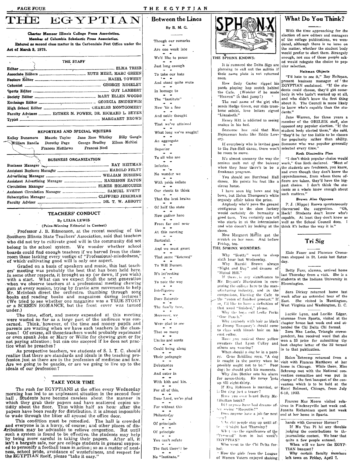HE

Act of March 3, 1879.

William Randle

#### THE EGYPTIAN

**Between the Lines** 

By B. M. G.

Though our remarks Are one week late We'd like to pause Just long enough To take our hats And stand quite mute In homege to The "Institute" Now 'tis a fine And noble thought That we've attained What long we've sought! An aggregate Superior To all who are Inferior. No wonder we With pride inflate Our chests to think That the best brains Of half the state Now gather here From far and near At this meeting Sartorial. And we must grant That some "listened" To Will Durant. It's int'resting To note the way Intelligence Doos Saturate The fam'ly tree, Moreover, we Were glad to see That so many Uncles and aunts Could bring along Their pedagogic Debutantes And enter in With kith and kin. For all of this, For without this Philantroby Of principals Of principle You can't refute



#### THE SPHINX KNOWS:

It is rumored the Delta Sigs are planning to call out the militia if their name plate is not returned soon

How Sody Carter ripped his<br>pants playing hop scotch behind<br>the Cafe. (Wonder if he made<br>"Heaven" in that jump?)

The real name of the girl who sear name of the girl who sends Hodge Green, our slide trom-<br>bone soloist, love letters signed "Lizzabeth."

Henry Hitt is addicted to seeing snakes in his hed.

Someone has said that Max<br>Heinzeman looks like Eddie Lowery.

If everybody who is invited goes to the Pen-Hell dance, there won't be room to move.

It's almost uncanny the way the seniors melt out of the balcony freshman program.

dance. He points his feet like a circus horse.

I have seen big bows and big bows, but Helen Thompson's white organdy affair takes the prize.

Anybody who'd pave the ground contiguous to the shoe factory would certainly do humanity good turn. You certainly can tell who starts in at the intermission and who doesn't by looking at the think it's better the way it is." shoes.

How Margaret Mifflin got the scratch on her nose. And before Friday, too.

#### THE SPHINX WONDERS:

Why "Scotty" went to sleep sixth hour last Wednesday.

Why Harold Brown always<br>"Night and Day" and dreams of "Signal Hill."

"Signar rim.<br>If there, is any significance to student at the Mr. Bryant's illustration in com-<br>Bloomington. paring the college here to the manufacturing industry, and in the comparison, likening the Cafe to

the "room of finished product." If so, I'd like to have a definition of that word "finished," please.

Why the boys call Leslie Perks<br>"One Punch."

Why anybody with hair as black

as Jimmy Tanquary's should come to class with blonde hair on his coat collar.

Have you noticed those yellow sweaters that Lynn Culley and others are wearing? When should a dog be in a pant-

ry. Gene Schilling says, "A dog is caught in the pantry when he possibly ought not to be." Poor dog; he should pick his moments.

Why Jim Stotlar sets his alarm for seven-thirty. He never gets up till eight-thirty.

If Eva Robinson is married, or is the ring just a teaser?

Have you ever heard Betty Mc-Elhattan laugh?

Dil anyone have bad dreams after seeing "Rasputin?"

Does anyone have a job for next  $\cdots$  or  $2$ 

V. by did people stay up until afte in 'night last Thursday?

Whet was the significance of the "Personal" item in last week's EGYPTIAN?

Who went to the Chi Delta forhal:

. How the girls from the League of Women Voters enjoyed shaking

#### **What Do You Think?**

With the time approaching for the election of new editors and managers of the college publications, we wondered, although there is no issue on the matter, whether the student body would prefer to elect them. Strangely enough, not one of those people asked would relegate the choice to popular selection

#### Heitman Objects

"I'd hate to see it," Ray Heitman, present business manager of the EGYPTIAN exclaimed. "If the students could choose, they'd get somebody in who hadn't worked up at all, and who didn't know the first thing and who didn't know the first thing<br>about it. The Council is more likely<br>to know who's capable than the students."

Jane Warren, for three years a<br>member of the OBELSIK staff, also opposed any popular election. "If the student body elected them," she said, "they'd be far too liable to be chosen for popularity rather than ability. Someone who was popular generally<br>selected every time."

#### Roth Discredits Plan

"I don't think popular choice would work." Gus Roth declared. "Most of when they hear there's to be a the students are freshmen, you know, and even though they don't know the You should see Burrhead Hall upperclassmen, from whom those ofspectral intervalses are taken, they'd have the big-<br>gest choice. I don't think the students as a whole know enough about such matters."

#### Brown Also Opposes

P. J. (Hippo) Brown spontaneously discouraed the suggestion. "Oh, Heck! Students don't know who's capable. At least they don't know as well as the School Council does. I

#### Tri Sig

Elsie Faner and Florence Croessman shopped in St. Louis last Saturday.

Betty Furr, alumna, arrived home last Thursday from a visit. She is a studenta at the Indiana University in

Sara Dickey returned home last week after an extended tour of the East. She visited in Huntington, West Virginia and Washington, D. C.

Lucille Lynn, and Lucille Edgar,<br>alumnae from Sparta, visited at the chapter house last week end and attended the Chi Delta Chi formal.

Zora Mae Locke, Triangle correspondent, has received word that she won a \$5 prize for submitting the best chapter letter of the 32 turned in to that publication.

Helen Schremp returned from a visit with Frances Matthews at her home in Chicago. While there, Miss Schremp met with the National convention committee and was put in charge of the first banquet of the convention which is to be held at the Hotel Belmont, Chicago, from July 6-10, 1933.

Frances Mae Moore visited relatives in Pinckneyville last week end. Juanita Richardson spent last week end at her home in Sparta.

hands with Governor Horner? If Mu Tau Pi hd any thouble judging the contributions to the journalistic contest. We hear that<br>quite a few people entered. When will we have the EGYP-

TIAN banquet? Why certain faculty members left town on Friday, April 7.

Dear Lord, we're glad

The fact there'd be

No "Institute."

REPORTERS AND SPECIAL WRITERS Maurie Taylor Jane Rose Whitley Billy Gangle Kelley Dunsmore George Bradley Eileen McNiel Dorothy Page Frances Noel Frances Matthews **BUSINESS ORGANIZATION** Business Manager Manager RAY HEITMAN 

EGYPTIAN

**ELMA TRIEB** 

Charter Memper Illinois College Press Association.

Member of Columbia Scholastic Press Association.

THE STAFF

Faculty Advisers ............ ESTHER M. POWER, DR. RICHARD L. BEYER

Entered as second class matter in the Carbondale Post Office under the

#### **TEACHERS' CONDUCT**

#### By LELIA LEWIS

(Prize-Winning Editorial in Contest)

Professor J. B. Edmonson, at the recent meeting of the Southern Illinois State Teachers' Association, said that teachers who did not try to cultivate good will in the community did not belong in the school system. We wonder whether school boards could find enough teachers if we barred from the class-<br>room those lacking every vestige of "Professional-mindedness,"<br>of which cultivating good will is only one aspect.

Graded on a basis of speakers and music, this last teachers' meeting was probably the best that has been held here. In some other respects, it brought us up (or down, if you wish) with a start. What can we expect from the next generation when we observe teachers at a professional meeting chewing when we observe teachers at a protessional income of the Mr. McIntosh direct the orchestra, thumbing through song books and reading books and movements to help Mr. McIntosh direct the orchestra, thumbing through song tower under.)

The time, effort, and money expended at this meeting The time, enor, and money expended at time was concerned. Think, however, of the time and money pupils and parents are wasting when we have such teachers in the classparents are wasting when we have such teachers in the class-<br>room! Of course, all these-teachers would probably reprimand<br>or even spank John or Mary or Willie for chewing gum or for<br>not paying attention; but can one succee

The main in propertive teachers, we students of S. I. T. C. should<br>realize that there are standards and ideals in the teaching pro-<br>fession just as there are in the profession of medicine and law. Are we going to be quacks, or are we going to live up to the ideals of our profession?

#### TAKE YOUR TIME

The rush for EGYPTIANS at the office every Wednesday morning has led to an unpleasant situation in the second floor<br>hall. Students have become careless about the manner in which they grab their papers and have scattered copies until<br>tidily about the floor. Thus within half an hour after the<br>papers have been ready for distribution, it is almost impossible to wade through the litter all around the office door.

This condition must be remedied. The hall is crowded Find conduction must be remeated. The half is crowded<br>
and everyone is in a hurry, of course; and other places of dis-<br> **Aribution may** be advisable to relieve congestion. But until<br>
such a system is found to be effective, and a personify a football team in action; so as a matter of neat-<br>ness, school pride, avoidance of wastefulness, and respect for<br>the EGYPTIAN itself, please "take it easy."

Faculty Adviser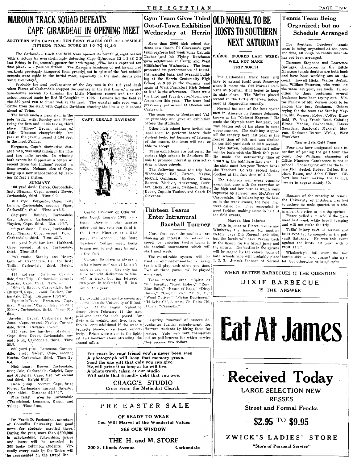#### THE EGYPTIAN

Out-of-Town Exhibition

### **MAROON TRACK SOUAD DEFEATS** CAPE GIRARDEAU IN OPENING MEET

SOUTHERN MEN CAPTURE TEN FIRST PLACES OUT OF POSSIELE More than 2000 high school stu-<br>FIFTEEN; FINAL SCORE 82 1-3 TO 48.2-3<br>FIFTEEN; FINAL SCORE 82 1-3 TO 48.2-3

The Carbondale track and field team opened its routh straight season team perform last week when Captain with a victory by overwhelmingly defeating Cape Girardeau 82 1-3-48 2-3(Tauber ) and his Flying Dutchmen with a vict<>ry by overwhelmingly defeating' Cape G' adeau 82 1-3-48 2-3 Tauber ,and his Flying Dutchmen &ave edibitions at Herrin and West last Friday in the, season's opener for both te . The locals captured ten FFankfort~on Wednesday. The team first places in a possible fifteen. 'The Mal"o , n's handicap of not having had workouts previously hampered them greatly but in spite of the fact notable presented its performances of tumbl-<br>records were made in the initial meet cancelelly in the abot dinny and ing, parallel bars, and pyramid buildrecords were made in the initial meet, especially in the shot, discus pole  $\begin{bmatrix} \text{ing, parallel bars, and pyramid build} \\ \text{ing at the Herrin Community High} \end{bmatrix}$ . The Carbondale track team will

vanlt and relay.<br>Probably the best performance of the 'Jay was in the 100 yard dash School at 9:30 in the morning and have to extend itself next Saturday Probably the best performance of the day was in the 100 yard dash S Probably the best performance of the day was in the 100 yard dash school at you in the internation. These wren it meets the Old Normal Red-<br>when Pierce of Carbondale stepped the century in the fast time of nine and at 2:1 school record made by Red No. Large Mineteen record and ted the third and fourth out-of-town per-<br>school record made by Red In 1995. Lemons led the field in 100 record in the Little Nineteen indoor freshmen have been tryin the 880 yard run to finish well in the lead. The quarter mile race was a formances this year. The team had seen the second the contently. tor Farlow of Mt. Vernon looks to be the fact of the host first among the best fresh Dattle from the start with Captain Davidson crossing the line a split second previously performed at Cobden and neces at Repersonce receives. ead of Tripp.<br>The team in the care Stanley Mey-<br>The team went to Benton and Val- men in America in Jimmie Johnson, ers. Mt. Vernon: Robert Colfee. Blue-

nd a vault, with Stanley and Perry CAPT. GERALD DAVIDSON ler yesterday and gave an exhibition known as the "Colored Express." He pole vault, with Stanley and Perry CAPT. GERALD DAVIDSON ler yesterday and gave an exhibition tieing for first and Tullis taking third before the students.<br>place. "Hippe" Brown, winner of the students are the students of the place of the students of the place is one of the students of the place of the students of t place. "Hippo" Brown, winner of contract the was beaten out of his place in some Saunders, San:Joval; Maxwell Mor-<br>Little Nineteen championship last and the some of the was beaten of the contract of the some of the some of Little Nineteen championship last year, but Elmer Medlin, Carbondale; Edwin [Blues. "Hippe" Brown, winner of the students.<br>
The high school have invited the team to perform before the student boy stepped Igan, Gar, Gar, Ga

Mile run: Ferguson, Cape, first; Lemme, Çarbondale, second; Piper, Carbondale, third, Time 4:45.5.

Shot-put: Bauder, Carbondale, first; Brown, Carbondale, second Hayden, Cape, third. Dist., 10'5".

22 yard dash: Pierce, Carbondalc first; Nieman, Cape, second; Devor Carbondale, third. Time 22.7.

120 yard high hurdles: Hubbard, Cape. second;  $Mings$ , Carbonda<sup>1</sup>. third. Time 15.9.

Pole vault: Stanley and Henry, both of Carbondale, tied for first; Tullis, Carbondale, third. Height, 11'6".

440 yard run: Davidson, Carbondale, first; Tripp, Carbondale, second;<br>Stearns, Cape, third. Time 53.

 $\begin{array}{|l|l|}\n\hline\n\text{Brids, Bauder, Carbondale, first: } & \text{junior this year.} \\
\hline\n\text{Hubbard, Cape, second; Brief, Caro.} & \text{Jaxen, "Green's "Green" "Green''}\n\hline\n\end{array}\n\quad\n\begin{array}{|l|l|}\n\hline\n\text{Hue Balls, "Blue Balls," "House of Raar," "Dix's'}\n\hline\n\end{array}\n\quad\n\begin{array}{|l|l|}\n\hline\n\text{FHE ANSWER}\n\hline\n\end{array}\n\quad\n\begin{array}{|l|l|}\n\hline\n\text{Hue Halls, "$ 

Eskew, Carbondale, thrid. Time  $10$  :

Jones, Cape, second; Feg!ey, Carbon-<br>dale, third. - Distance 1844''.

220 yard low hurdles: Masteller,

880 yard run: Lemmons, Carbondale, first; Sadler, Cape, second;<br>Kuehn, Carbondale, third. Time 2;-6.4.

High jump: Reeves, Carbondale,<br>first; Cole, Carbondale, Gabriel, Cape. and Mosteller, Cape, tied for second and third. Height 5'10".

Broad jump: Nieman, Cape, first; Pierce, Carbondale, second; Oglesby,

Cape, third. Distance  $22'8'2''$ . Mile relay: Won by Carbondale (Travelstead, Lemmons, Knash, and

Tripp). Time 3:36. Dr. Frank D. Fackenthal, secretary of Columbia University, has good news for students enrolled there.

During the year, more than \$6'00;000 in scholarships, fellowships, prizes<br>
and loans will be awarded to<br>
265 lucky Columbia students. Virtually every state ip the Union will be represented on the award list.



Gerald Davidson of Odin will pilot Coach Lingle's 1933 track team. Dave is a star quarter miler and last year ran third in the Little Nineteen at a 51.8 pace, and second in the State Teachers' College meet, being  $1$ <sub>y</sub> aten out in each case by only a few feet.

Captain Davidson is always a boint winner and one of Lingle's r,w.-\* valued men. Not only has 11·,'.\' broug·ht distinction to him *re*<sup>1</sup> in track, but has lettered two vears in basketball. He is a Stearns, Cape, third. Time 53. two years in basketball. He is a  $\begin{bmatrix} \tau_6 \\ \tau_6 \end{bmatrix}$  Faculty, "Knot Holers," "Ross' (Ross')  $\begin{bmatrix} 56 \\ -10 \end{bmatrix}$ 

88.5.<br>Javelin: Brown, Carbondale, first; paid one cent for each pound for campus. At the annual Valentine B team, "Chemeka." dance given February 11 the men their girls weight, and five, ten, or! Aspiring "mamas" of eastern de-

fifteen cents additional if she were a buntantes furnish empployment for brunette, blonde, or red head, respect- : Harvard students by hiring them for ively. Prizes were given to the light- | parties. Yale men rent themselves Experiment themselves<br>
cape, first; Devor, Carbondale, sec. ivcly. Prizes were given to the light-<br>
cape, first; Devor, Carbondale, sec. ivcly. Prizes were given to the light-<br>
annual affair.<br>
25.7.

> For years by your friend you've never been seen. A photograph will. keep thai memory green. Send the one gift that only you can give\_ He, will prize it as long as he will live. A~photo¤ranh·taken at our studio<br>Will settle that friendly debt that you owe.

> > CRAGG'S STUDIO Cross From the Methodist Church

#### PRE EASTER SALE

OF READY TO WEAR You Will Marvel at the Wonderful Values SEE OUR WINDOW

THE H. and M. STORE 200 S. Illinois Avenue Carbondale

## Gym Team Gives Third OLD'NORMAL TO BE Wednesday at Herrin HUSISIU SUUIHEKN NEXT SATURDAY

PIERCE. INJURED LAST WEEK: WILL NOT MAKE

#### TRIP NORTH

ahead of Tripp.<br>The team went to Benton and Val- men in America in Jimmie Johnson, ersteam are staniey mey-<br>pole vault, with Stanley and Perry CAPT. GERALD DAVIDSON er yesterday and gave an exhibition known as the "Colored

Four men have designated their in-<br>These exhibitions are put on at the will be back with the Birds this year. tention of joining the golf team this ance man, was outstanding in the mile in the mile I is a structure of the man was outstanding in the mile I will be back with the Birds this year. I tention of joining the golf team this and two mile events. In winning in and two mile events. In winning and the clients. In which was a series were written in the series of the series were the series of the series of the series of the clipped off a couple of  $\sim$  and  $\sim$   $\sim$   $\sim$   $\sim$   $\sim$  second from the Indians' record in Ithe Nineteen Conference is not in the Indians' record in Ithe Indians' record in Ithe Indians' record in Ithe Indians' record in Ithe Islam and the state meet last year Hutton broke Scho those events. Neiman, also of Cape, The Following made the trip last the Teachers' College record being are Phil Heckel, Robert Colfee, Har-<br>hung up a new school record by leap- in the set of the Teachers' College record b

100 yard dash: Pierce, Carbondale, The High and Long High and Long High and Long High and Low hurdles which were I have I have in the exception of the high and low hurdles which were I have high and low hurdles which were first; Nieman, Cape, second; Devor, J. I Devor. Captam Tauber, and Coach Dl, captured by Johnson and McAfoos of , Carbondale. In balancing up the loss-<br>Carbondale. In balancing up the Ioss- the University of Pittsburg has hed jes in the track events, the field men the University of Pittsburg has h-d were called on. They responded in to reduce its male quartet to a trio. Thirteen. Teams  $\begin{array}{cc}\n\text{Find the field events.} \\
\text{For the left events.}\n\end{array}$ 

Baseball Tourney With injuries to Pierce, Tullis' and Will not make the trip.<br>
With linguist to P, another Pullis' injury isn't so serious and Wimberley the chances for another Tullis' injury  $sin't$  so serious and victory over Old Normal look slim, he is expected to compete in the pole More than ever the students are  $\langle$  circtory over Old Normal look slim, he is expected to compete in the pole.<br>
owing an interest in intramural but the locals will have Parran back valit Saturday. He won this event whowing an interest in intramural but the locals will have Parran back vault Saturday. He won this event sports by entering twelve teams in in the lineup for the broad jump and against the birds last year with  $\sim$ sports by entering twelve teams in in the lineup for the broad jump and against the birds last year with :-<br>the baseball tournament which will the sprints. The battles in the sprints vault 11'6''.

start next week.<br>The round-robin system will be staged by the colored boys of Wimberley's fall over the last The round-robin system will be both schools who will probably place hurdle skinned and bruised him u<sub>)</sub>:<br>used in eliminations—that is every 1, 2, 3. Jimmie Johnson of Normal bit, but otherwise he is all right. used in eliminations-that is every 1, 2, 3. Jimmie Johnson of Normal bit, but otherwise he is all right.<br>
team will play each other one time.

#### Tennis Team Being Organized; but no Schedule Arranged

The Southern Teachers' tennis team is being organized at the present time, although no tennis schedule has yet been arranged.

Clarence Stephens and Lawrence Springer, champions in the Little Nineteen tennis doubles are both back and have been working out on the court. Lowell Hicks, Walter Syfert. and William Petersen, who were on the team last year, are back. In ad-<br>dition to these veeterans several

hung up a new school record by leap-<br>ing 22 feet 8 inches.<br>McCall, Quillman, Harker, Evans, The Redbirds won every running bert has been making the 18 hole

is given the edge to win the sprints. l events.<br>
Pierce pulled a musc'e in the Cape<br>
Maroon Men Injured meet last week while broad jumping meet last week while broad jumping<br>and will not make the trin

### Two or three games will be played : WHEN BETTER BARBECUES IS THE QUESTION each week. Teams entering- are:  $\frac{m}{12}$   $\frac{m}{12}$   $\frac{m}{12}$   $\frac{m}{12}$   $\frac{m}{12}$   $\frac{m}{12}$   $\frac{m}{12}$   $\frac{m}{12}$   $\frac{m}{12}$   $\frac{m}{12}$   $\frac{m}{12}$   $\frac{m}{12}$   $\frac{m}{12}$   $\frac{m}{12}$   $\frac{m}{12}$   $\frac{m}{12}$   $\frac{m}{12}$   $\frac{m}{12}$   $\$



"Store of Personal Service"

PAGE FIVF